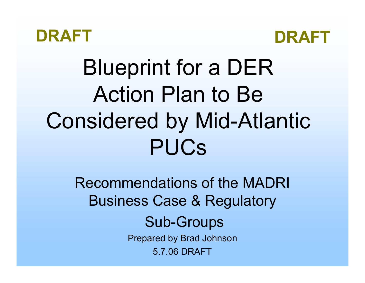



# Blueprint for a DER Action Plan to Be Considered by Mid-Atlantic PUCs

Recommendations of the MADRI Business Case & Regulatory Sub-Groups Prepared by Brad Johnson 5.7.06 DRAFT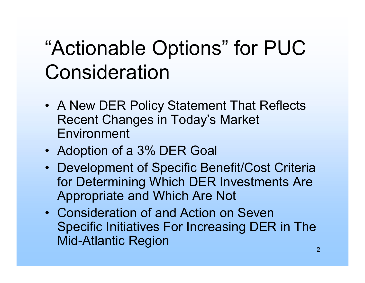### "Actionable Options" for PUC Consideration

- A New DER Policy Statement That Reflects Recent Changes in Today's Market Environment
- Adoption of a 3% DER Goal
- Development of Specific Benefit/Cost Criteria for Determining Which DER Investments Are Appropriate and Which Are Not
- Consideration of and Action on Seven Specific Initiatives For Increasing DER in The Mid-Atlantic Region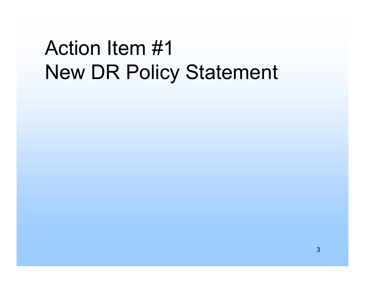### Action Item #1New DR Policy Statement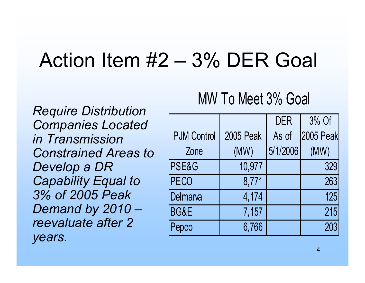### Action Item  $#2 - 3\%$  DER Goal

*Require Distribution Companies Located in Transmission Constrained Areas to Develop a DR Capability Equal to 3% of 2005 Peak Demand by 2010 – reevaluate after 2 years.*

#### MW To Meet 3% Goal

|                    |                  | <b>DER</b> | 3% Of            |
|--------------------|------------------|------------|------------------|
| <b>PJM Control</b> | <b>2005 Peak</b> | As of      | <b>2005 Peak</b> |
| Zone               | (MW)             | 5/1/2006   | (MW)             |
| <b>PSE&amp;G</b>   | 10,977           |            | 329              |
| PECO               | 8,771            |            | 263              |
| Delmarva           | 4,174            |            | 125              |
| BG&E               | 7,157            |            | 215              |
| Pepco              | 6,766            |            | 203              |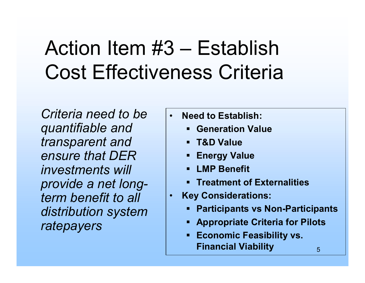### Action Item  $#3$  – Establish Cost Effectiveness Criteria

*Criteria need to be quantifiable and transparent and ensure that DER investments will provide a net longterm benefit to all distribution system ratepayers*

- ï **Need to Establish:**
	- **. Generation Value**
	- ! **T&D Value**
	- !**Energy Value**
	- !**LMP Benefit**
	- !**EXTER THE TREATHER IN THE THE**
- $\bullet$  **Key Considerations:**
	- !**Participants vs Non-Participants**
	- **. Appropriate Criteria for Pilots**
	- ! **Economic Feasibility vs. Financial Viability**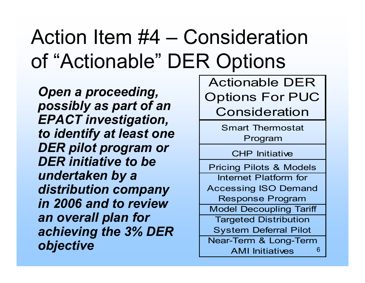## Action Item  $#4 -$  Consideration of "Actionable" DER Options

*Open a proceeding, possibly as part of an EPACT investigation, to identify at least one DER pilot program or DER initiative to be undertaken by a distribution company in 2006 and to review an overall plan for achieving the 3% DER objective*

Actionable DER Options For PUC Consideration

> Smart Thermostat Program

> > CHP Initiative

6Pricing Pilots & Models Internet Platform for Accessing ISO Demand Response Program Model Decoupling Tariff Targeted Distribution System Deferral Pilot Near-Term & Long-Term AMI Initiatives